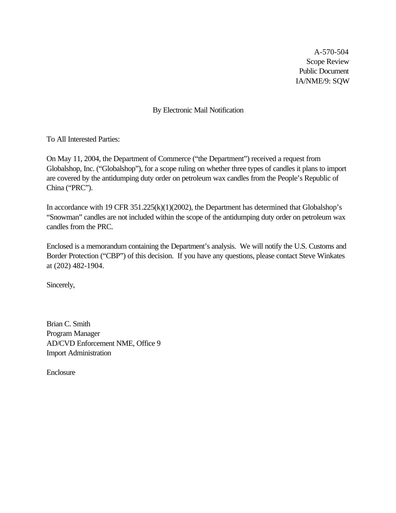A-570-504 Scope Review Public Document IA/NME/9: SQW

By Electronic Mail Notification

To All Interested Parties:

On May 11, 2004, the Department of Commerce ("the Department") received a request from Globalshop, Inc. ("Globalshop"), for a scope ruling on whether three types of candles it plans to import are covered by the antidumping duty order on petroleum wax candles from the People's Republic of China ("PRC").

In accordance with 19 CFR 351.225(k)(1)(2002), the Department has determined that Globalshop's "Snowman" candles are not included within the scope of the antidumping duty order on petroleum wax candles from the PRC.

Enclosed is a memorandum containing the Department's analysis. We will notify the U.S. Customs and Border Protection ("CBP") of this decision. If you have any questions, please contact Steve Winkates at (202) 482-1904.

Sincerely,

Brian C. Smith Program Manager AD/CVD Enforcement NME, Office 9 Import Administration

Enclosure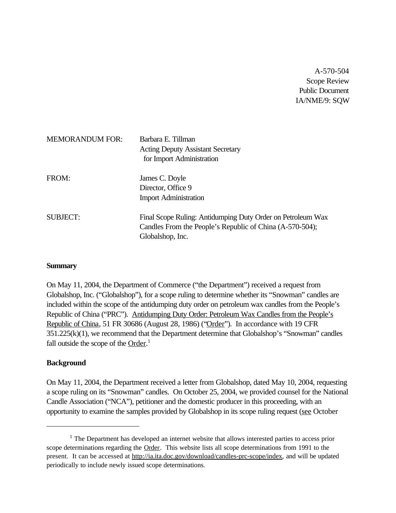A-570-504 Scope Review Public Document IA/NME/9: SQW

| <b>MEMORANDUM FOR:</b> | Barbara E. Tillman<br><b>Acting Deputy Assistant Secretary</b><br>for Import Administration                                                 |
|------------------------|---------------------------------------------------------------------------------------------------------------------------------------------|
| FROM:                  | James C. Doyle<br>Director, Office 9<br><b>Import Administration</b>                                                                        |
| <b>SUBJECT:</b>        | Final Scope Ruling: Antidumping Duty Order on Petroleum Wax<br>Candles From the People's Republic of China (A-570-504);<br>Globalshop, Inc. |

#### **Summary**

On May 11, 2004, the Department of Commerce ("the Department") received a request from Globalshop, Inc. ("Globalshop"), for a scope ruling to determine whether its "Snowman" candles are included within the scope of the antidumping duty order on petroleum wax candles from the People's Republic of China ("PRC"). Antidumping Duty Order: Petroleum Wax Candles from the People's Republic of China, 51 FR 30686 (August 28, 1986) ("Order"). In accordance with 19 CFR 351.225(k)(1), we recommend that the Department determine that Globalshop's "Snowman" candles fall outside the scope of the Order.<sup>1</sup>

## **Background**

On May 11, 2004, the Department received a letter from Globalshop, dated May 10, 2004, requesting a scope ruling on its "Snowman" candles. On October 25, 2004, we provided counsel for the National Candle Association ("NCA"), petitioner and the domestic producer in this proceeding, with an opportunity to examine the samples provided by Globalshop in its scope ruling request (see October

 $<sup>1</sup>$  The Department has developed an internet website that allows interested parties to access prior</sup> scope determinations regarding the Order. This website lists all scope determinations from 1991 to the present. It can be accessed at http://ia.ita.doc.gov/download/candles-prc-scope/index, and will be updated periodically to include newly issued scope determinations.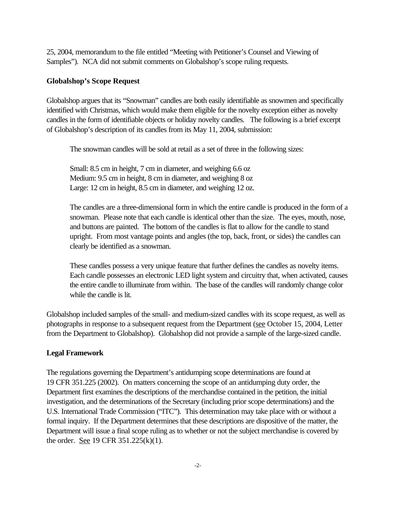25, 2004, memorandum to the file entitled "Meeting with Petitioner's Counsel and Viewing of Samples"). NCA did not submit comments on Globalshop's scope ruling requests.

## **Globalshop's Scope Request**

Globalshop argues that its "Snowman" candles are both easily identifiable as snowmen and specifically identified with Christmas, which would make them eligible for the novelty exception either as novelty candles in the form of identifiable objects or holiday novelty candles. The following is a brief excerpt of Globalshop's description of its candles from its May 11, 2004, submission:

The snowman candles will be sold at retail as a set of three in the following sizes:

Small: 8.5 cm in height, 7 cm in diameter, and weighing 6.6 oz Medium: 9.5 cm in height, 8 cm in diameter, and weighing 8 oz Large: 12 cm in height, 8.5 cm in diameter, and weighing 12 oz.

The candles are a three-dimensional form in which the entire candle is produced in the form of a snowman. Please note that each candle is identical other than the size. The eyes, mouth, nose, and buttons are painted. The bottom of the candles is flat to allow for the candle to stand upright. From most vantage points and angles (the top, back, front, or sides) the candles can clearly be identified as a snowman.

These candles possess a very unique feature that further defines the candles as novelty items. Each candle possesses an electronic LED light system and circuitry that, when activated, causes the entire candle to illuminate from within. The base of the candles will randomly change color while the candle is lit.

Globalshop included samples of the small- and medium-sized candles with its scope request, as well as photographs in response to a subsequent request from the Department (see October 15, 2004, Letter from the Department to Globalshop). Globalshop did not provide a sample of the large-sized candle.

## **Legal Framework**

The regulations governing the Department's antidumping scope determinations are found at 19 CFR 351.225 (2002). On matters concerning the scope of an antidumping duty order, the Department first examines the descriptions of the merchandise contained in the petition, the initial investigation, and the determinations of the Secretary (including prior scope determinations) and the U.S. International Trade Commission ("ITC"). This determination may take place with or without a formal inquiry. If the Department determines that these descriptions are dispositive of the matter, the Department will issue a final scope ruling as to whether or not the subject merchandise is covered by the order. See 19 CFR 351.225(k)(1).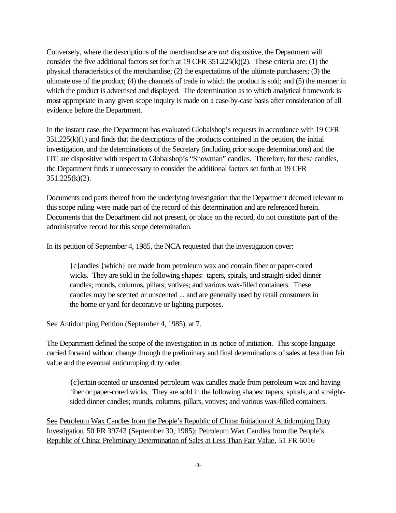Conversely, where the descriptions of the merchandise are *not* dispositive, the Department will consider the five additional factors set forth at 19 CFR 351.225(k)(2). These criteria are: (1) the physical characteristics of the merchandise; (2) the expectations of the ultimate purchasers; (3) the ultimate use of the product; (4) the channels of trade in which the product is sold; and (5) the manner in which the product is advertised and displayed. The determination as to which analytical framework is most appropriate in any given scope inquiry is made on a case-by-case basis after consideration of all evidence before the Department.

In the instant case, the Department has evaluated Globalshop's requests in accordance with 19 CFR 351.225(k)(1) and finds that the descriptions of the products contained in the petition, the initial investigation, and the determinations of the Secretary (including prior scope determinations) and the ITC are dispositive with respect to Globalshop's "Snowman" candles. Therefore, for these candles, the Department finds it unnecessary to consider the additional factors set forth at 19 CFR 351.225(k)(2).

Documents and parts thereof from the underlying investigation that the Department deemed relevant to this scope ruling were made part of the record of this determination and are referenced herein. Documents that the Department did not present, or place on the record, do not constitute part of the administrative record for this scope determination.

In its petition of September 4, 1985, the NCA requested that the investigation cover:

{c}andles {which} are made from petroleum wax and contain fiber or paper-cored wicks. They are sold in the following shapes: tapers, spirals, and straight-sided dinner candles; rounds, columns, pillars; votives; and various wax-filled containers. These candles may be scented or unscented ... and are generally used by retail consumers in the home or yard for decorative or lighting purposes.

See Antidumping Petition (September 4, 1985), at 7.

The Department defined the scope of the investigation in its notice of initiation. This scope language carried forward without change through the preliminary and final determinations of sales at less than fair value and the eventual antidumping duty order:

{c}ertain scented or unscented petroleum wax candles made from petroleum wax and having fiber or paper-cored wicks. They are sold in the following shapes: tapers, spirals, and straightsided dinner candles; rounds, columns, pillars, votives; and various wax-filled containers.

See Petroleum Wax Candles from the People's Republic of China: Initiation of Antidumping Duty Investigation, 50 FR 39743 (September 30, 1985); Petroleum Wax Candles from the People's Republic of China: Preliminary Determination of Sales at Less Than Fair Value, 51 FR 6016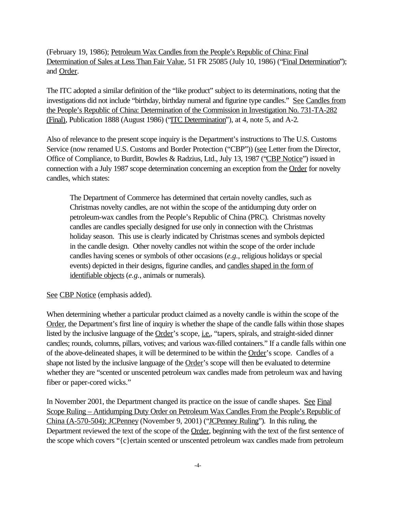(February 19, 1986); Petroleum Wax Candles from the People's Republic of China: Final Determination of Sales at Less Than Fair Value, 51 FR 25085 (July 10, 1986) ("Final Determination"); and Order.

The ITC adopted a similar definition of the "like product" subject to its determinations, noting that the investigations did not include "birthday, birthday numeral and figurine type candles." See Candles from the People's Republic of China: Determination of the Commission in Investigation No. 731-TA-282 (Final), Publication 1888 (August 1986) ("ITC Determination"), at 4, note 5, and A-2.

Also of relevance to the present scope inquiry is the Department's instructions to The U.S. Customs Service (now renamed U.S. Customs and Border Protection ("CBP")) (see Letter from the Director, Office of Compliance, to Burditt, Bowles & Radzius, Ltd., July 13, 1987 ("CBP Notice") issued in connection with a July 1987 scope determination concerning an exception from the Order for novelty candles, which states:

The Department of Commerce has determined that certain novelty candles, such as Christmas novelty candles, are not within the scope of the antidumping duty order on petroleum-wax candles from the People's Republic of China (PRC). Christmas novelty candles are candles specially designed for use only in connection with the Christmas holiday season. This use is clearly indicated by Christmas scenes and symbols depicted in the candle design. Other novelty candles not within the scope of the order include candles having scenes or symbols of other occasions (*e.g.*, religious holidays or special events) depicted in their designs, figurine candles, and candles shaped in the form of identifiable objects (*e.g.*, animals or numerals).

See CBP Notice (emphasis added).

When determining whether a particular product claimed as a novelty candle is within the scope of the Order, the Department's first line of inquiry is whether the shape of the candle falls within those shapes listed by the inclusive language of the Order's scope, *i.e.*, "tapers, spirals, and straight-sided dinner candles; rounds, columns, pillars, votives; and various wax-filled containers." If a candle falls within one of the above-delineated shapes, it will be determined to be within the Order's scope. Candles of a shape not listed by the inclusive language of the Order's scope will then be evaluated to determine whether they are "scented or unscented petroleum wax candles made from petroleum wax and having fiber or paper-cored wicks."

In November 2001, the Department changed its practice on the issue of candle shapes. See Final Scope Ruling – Antidumping Duty Order on Petroleum Wax Candles From the People's Republic of China (A-570-504); JCPenney (November 9, 2001) ("JCPenney Ruling"). In this ruling, the Department reviewed the text of the scope of the Order, beginning with the text of the first sentence of the scope which covers "{c}ertain scented or unscented petroleum wax candles made from petroleum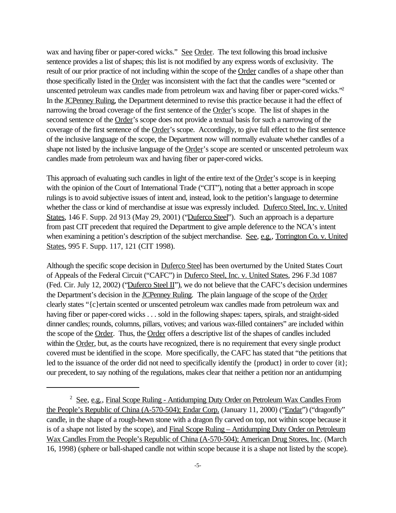wax and having fiber or paper-cored wicks." See Order. The text following this broad inclusive sentence provides a list of shapes; this list is not modified by any express words of exclusivity. The result of our prior practice of not including within the scope of the Order candles of a shape other than those specifically listed in the Order was inconsistent with the fact that the candles were "scented or unscented petroleum wax candles made from petroleum wax and having fiber or paper-cored wicks."<sup>2</sup> In the JCPenney Ruling, the Department determined to revise this practice because it had the effect of narrowing the broad coverage of the first sentence of the Order's scope. The list of shapes in the second sentence of the Order's scope does not provide a textual basis for such a narrowing of the coverage of the first sentence of the Order's scope. Accordingly, to give full effect to the first sentence of the inclusive language of the scope, the Department now will normally evaluate whether candles of a shape not listed by the inclusive language of the Order's scope are scented or unscented petroleum wax candles made from petroleum wax and having fiber or paper-cored wicks.

This approach of evaluating such candles in light of the entire text of the Order's scope is in keeping with the opinion of the Court of International Trade ("CIT"), noting that a better approach in scope rulings is to avoid subjective issues of intent and, instead, look to the petition's language to determine whether the class or kind of merchandise at issue was expressly included. Duferco Steel, Inc. v. United States, 146 F. Supp. 2d 913 (May 29, 2001) ("Duferco Steel"). Such an approach is a departure from past CIT precedent that required the Department to give ample deference to the NCA's intent when examining a petition's description of the subject merchandise. See, e.g., Torrington Co. v. United States, 995 F. Supp. 117, 121 (CIT 1998).

Although the specific scope decision in Duferco Steel has been overturned by the United States Court of Appeals of the Federal Circuit ("CAFC") in Duferco Steel, Inc. v. United States, 296 F.3d 1087 (Fed. Cir. July 12, 2002) ("Duferco Steel II"), we do not believe that the CAFC's decision undermines the Department's decision in the **JCPenney Ruling**. The plain language of the scope of the Order clearly states "{c}ertain scented or unscented petroleum wax candles made from petroleum wax and having fiber or paper-cored wicks . . . sold in the following shapes: tapers, spirals, and straight-sided dinner candles; rounds, columns, pillars, votives; and various wax-filled containers" are included within the scope of the Order. Thus, the Order offers a descriptive list of the shapes of candles included within the Order, but, as the courts have recognized, there is no requirement that every single product covered must be identified in the scope. More specifically, the CAFC has stated that "the petitions that led to the issuance of the order did not need to specifically identify the {product} in order to cover {it}; our precedent, to say nothing of the regulations, makes clear that neither a petition nor an antidumping

<sup>&</sup>lt;sup>2</sup> See, e.g., Final Scope Ruling - Antidumping Duty Order on Petroleum Wax Candles From the People's Republic of China (A-570-504); Endar Corp. (January 11, 2000) ("Endar") ("dragonfly" candle, in the shape of a rough-hewn stone with a dragon fly carved on top, not within scope because it is of a shape not listed by the scope), and Final Scope Ruling – Antidumping Duty Order on Petroleum Wax Candles From the People's Republic of China (A-570-504); American Drug Stores, Inc. (March 16, 1998) (sphere or ball-shaped candle not within scope because it is a shape not listed by the scope).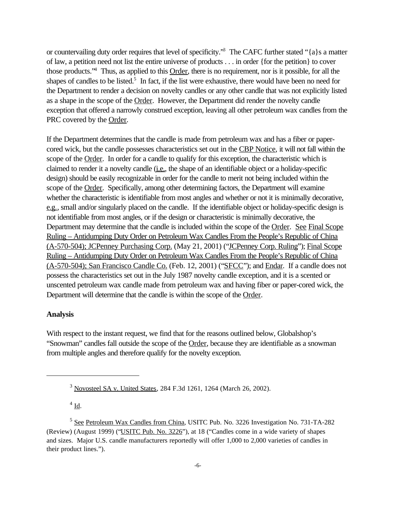or countervailing duty order requires that level of specificity."<sup>3</sup> The CAFC further stated "{a}s a matter of law, a petition need not list the entire universe of products . . . in order {for the petition} to cover those products."<sup>4</sup> Thus, as applied to this Order, there is no requirement, nor is it possible, for all the shapes of candles to be listed.<sup>5</sup> In fact, if the list were exhaustive, there would have been no need for the Department to render a decision on novelty candles or any other candle that was not explicitly listed as a shape in the scope of the Order. However, the Department did render the novelty candle exception that offered a narrowly construed exception, leaving all other petroleum wax candles from the PRC covered by the Order.

If the Department determines that the candle is made from petroleum wax and has a fiber or papercored wick, but the candle possesses characteristics set out in the CBP Notice, it will not fall within the scope of the Order. In order for a candle to qualify for this exception, the characteristic which is claimed to render it a novelty candle (i.e., the shape of an identifiable object or a holiday-specific design) should be easily recognizable in order for the candle to merit not being included within the scope of the Order. Specifically, among other determining factors, the Department will examine whether the characteristic is identifiable from most angles and whether or not it is minimally decorative, e.g., small and/or singularly placed on the candle. If the identifiable object or holiday-specific design is not identifiable from most angles, or if the design or characteristic is minimally decorative, the Department may determine that the candle is included within the scope of the Order. See Final Scope Ruling – Antidumping Duty Order on Petroleum Wax Candles From the People's Republic of China (A-570-504); JCPenney Purchasing Corp. (May 21, 2001) ("JCPenney Corp. Ruling"); Final Scope Ruling – Antidumping Duty Order on Petroleum Wax Candles From the People's Republic of China (A-570-504); San Francisco Candle Co. (Feb. 12, 2001) ("SFCC"); and Endar. If a candle does not possess the characteristics set out in the July 1987 novelty candle exception, and it is a scented or unscented petroleum wax candle made from petroleum wax and having fiber or paper-cored wick, the Department will determine that the candle is within the scope of the Order.

#### **Analysis**

With respect to the instant request, we find that for the reasons outlined below, Globalshop's "Snowman" candles fall outside the scope of the Order, because they are identifiable as a snowman from multiple angles and therefore qualify for the novelty exception.

 $4 \underline{\text{Id}}$ .

<sup>3</sup> Novosteel SA v. United States, 284 F.3d 1261, 1264 (March 26, 2002).

<sup>&</sup>lt;sup>5</sup> See Petroleum Wax Candles from China, USITC Pub. No. 3226 Investigation No. 731-TA-282 (Review) (August 1999) ("USITC Pub. No. 3226"), at 18 ("Candles come in a wide variety of shapes and sizes. Major U.S. candle manufacturers reportedly will offer 1,000 to 2,000 varieties of candles in their product lines.").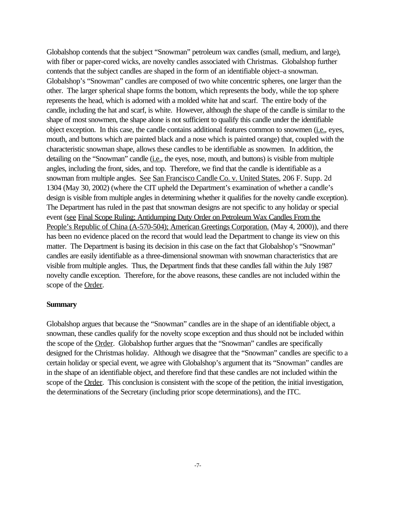Globalshop contends that the subject "Snowman" petroleum wax candles (small, medium, and large), with fiber or paper-cored wicks, are novelty candles associated with Christmas. Globalshop further contends that the subject candles are shaped in the form of an identifiable object–a snowman. Globalshop's "Snowman" candles are composed of two white concentric spheres, one larger than the other. The larger spherical shape forms the bottom, which represents the body, while the top sphere represents the head, which is adorned with a molded white hat and scarf. The entire body of the candle, including the hat and scarf, is white. However, although the shape of the candle is similar to the shape of most snowmen, the shape alone is not sufficient to qualify this candle under the identifiable object exception. In this case, the candle contains additional features common to snowmen (i.e., eyes, mouth, and buttons which are painted black and a nose which is painted orange) that, coupled with the characteristic snowman shape, allows these candles to be identifiable as snowmen. In addition, the detailing on the "Snowman" candle (*i.e.*, the eyes, nose, mouth, and buttons) is visible from multiple angles, including the front, sides, and top. Therefore, we find that the candle is identifiable as a snowman from multiple angles. See San Francisco Candle Co. v. United States, 206 F. Supp. 2d 1304 (May 30, 2002) (where the CIT upheld the Department's examination of whether a candle's design is visible from multiple angles in determining whether it qualifies for the novelty candle exception). The Department has ruled in the past that snowman designs are not specific to any holiday or special event (see Final Scope Ruling; Antidumping Duty Order on Petroleum Wax Candles From the People's Republic of China (A-570-504); American Greetings Corporation. (May 4, 2000)), and there has been no evidence placed on the record that would lead the Department to change its view on this matter. The Department is basing its decision in this case on the fact that Globalshop's "Snowman" candles are easily identifiable as a three-dimensional snowman with snowman characteristics that are visible from multiple angles. Thus, the Department finds that these candles fall within the July 1987 novelty candle exception. Therefore, for the above reasons, these candles are not included within the scope of the Order.

## **Summary**

Globalshop argues that because the "Snowman" candles are in the shape of an identifiable object, a snowman, these candles qualify for the novelty scope exception and thus should not be included within the scope of the Order. Globalshop further argues that the "Snowman" candles are specifically designed for the Christmas holiday. Although we disagree that the "Snowman" candles are specific to a certain holiday or special event, we agree with Globalshop's argument that its "Snowman" candles are in the shape of an identifiable object, and therefore find that these candles are not included within the scope of the Order. This conclusion is consistent with the scope of the petition, the initial investigation, the determinations of the Secretary (including prior scope determinations), and the ITC.